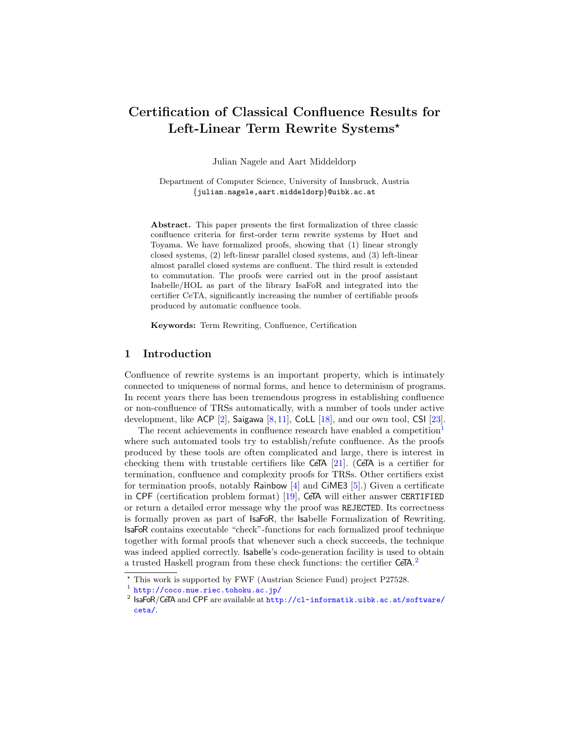# Certification of Classical Confluence Results for Left-Linear Term Rewrite Systems\*

Julian Nagele and Aart Middeldorp

Department of Computer Science, University of Innsbruck, Austria {julian.nagele,aart.middeldorp}@uibk.ac.at

Abstract. This paper presents the first formalization of three classic confluence criteria for first-order term rewrite systems by Huet and Toyama. We have formalized proofs, showing that (1) linear strongly closed systems, (2) left-linear parallel closed systems, and (3) left-linear almost parallel closed systems are confluent. The third result is extended to commutation. The proofs were carried out in the proof assistant Isabelle/HOL as part of the library IsaFoR and integrated into the certifier CeTA, significantly increasing the number of certifiable proofs produced by automatic confluence tools.

Keywords: Term Rewriting, Confluence, Certification

#### 1 Introduction

Confluence of rewrite systems is an important property, which is intimately connected to uniqueness of normal forms, and hence to determinism of programs. In recent years there has been tremendous progress in establishing confluence or non-confluence of TRSs automatically, with a number of tools under active development, like ACP  $[2]$ , Saigawa  $[8, 11]$  $[8, 11]$  $[8, 11]$ , CoLL  $[18]$ , and our own tool, CSI  $[23]$ .

The recent achievements in confluence research have enabled a competition<sup>[1](#page-0-0)</sup> where such automated tools try to establish/refute confluence. As the proofs produced by these tools are often complicated and large, there is interest in checking them with trustable certifiers like CeTA  $[21]$ . (CeTA is a certifier for termination, confluence and complexity proofs for TRSs. Other certifiers exist for termination proofs, notably Rainbow [\[4\]](#page-14-1) and CiME3 [\[5\]](#page-14-2).) Given a certificate in CPF (certification problem format) [\[19\]](#page-15-5), CeTA will either answer CERTIFIED or return a detailed error message why the proof was REJECTED. Its correctness is formally proven as part of IsaFoR, the Isabelle Formalization of Rewriting. IsaFoR contains executable "check"-functions for each formalized proof technique together with formal proofs that whenever such a check succeeds, the technique was indeed applied correctly. Isabelle's code-generation facility is used to obtain a trusted Haskell program from these check functions: the certifier CeTA.<sup>[2](#page-0-1)</sup>

<sup>?</sup> This work is supported by FWF (Austrian Science Fund) project P27528.

<span id="page-0-0"></span><sup>1</sup> <http://coco.nue.riec.tohoku.ac.jp/>

<span id="page-0-1"></span> $^2$  IsaFoR/CeTA and CPF are available at  ${\tt http://cl-informatik.uibk.ac.at/software/}$  ${\tt http://cl-informatik.uibk.ac.at/software/}$  ${\tt http://cl-informatik.uibk.ac.at/software/}$ [ceta/](http://cl-informatik.uibk.ac.at/software/ceta/).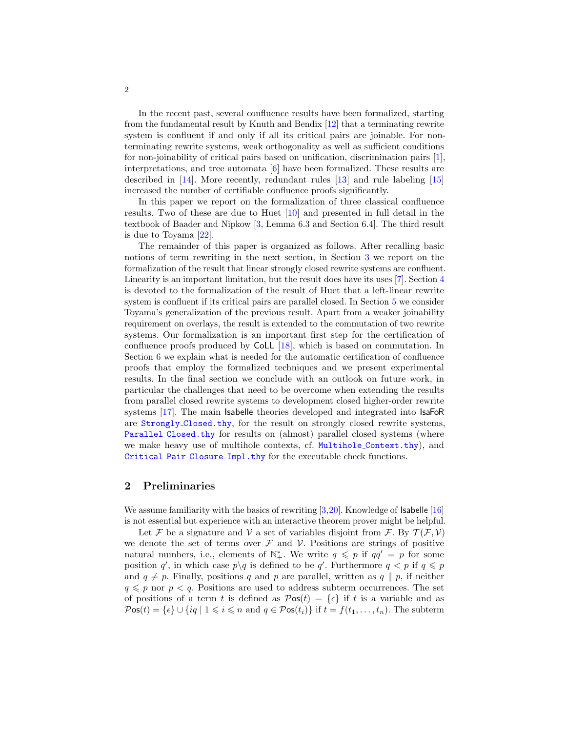In the recent past, several confluence results have been formalized, starting from the fundamental result by Knuth and Bendix [\[12\]](#page-15-6) that a terminating rewrite system is confluent if and only if all its critical pairs are joinable. For nonterminating rewrite systems, weak orthogonality as well as sufficient conditions for non-joinability of critical pairs based on unification, discrimination pairs [\[1\]](#page-14-3), interpretations, and tree automata [\[6\]](#page-14-4) have been formalized. These results are described in [\[14\]](#page-15-7). More recently, redundant rules [\[13\]](#page-15-8) and rule labeling [\[15\]](#page-15-9) increased the number of certifiable confluence proofs significantly.

In this paper we report on the formalization of three classical confluence results. Two of these are due to Huet [\[10\]](#page-15-10) and presented in full detail in the textbook of Baader and Nipkow [\[3,](#page-14-5) Lemma 6.3 and Section 6.4]. The third result is due to Toyama [\[22\]](#page-15-11).

The remainder of this paper is organized as follows. After recalling basic notions of term rewriting in the next section, in Section [3](#page-3-0) we report on the formalization of the result that linear strongly closed rewrite systems are confluent. Linearity is an important limitation, but the result does have its uses [\[7\]](#page-15-12). Section [4](#page-5-0) is devoted to the formalization of the result of Huet that a left-linear rewrite system is confluent if its critical pairs are parallel closed. In Section [5](#page-11-0) we consider Toyama's generalization of the previous result. Apart from a weaker joinability requirement on overlays, the result is extended to the commutation of two rewrite systems. Our formalization is an important first step for the certification of confluence proofs produced by CoLL [\[18\]](#page-15-2), which is based on commutation. In Section [6](#page-13-0) we explain what is needed for the automatic certification of confluence proofs that employ the formalized techniques and we present experimental results. In the final section we conclude with an outlook on future work, in particular the challenges that need to be overcome when extending the results from parallel closed rewrite systems to development closed higher-order rewrite systems [\[17\]](#page-15-13). The main Isabelle theories developed and integrated into IsaFoR are Strongly [Closed.thy](http://cl2-informatik.uibk.ac.at/rewriting/mercurial.cgi/IsaFoR/file/749facec0ad2/thys/Confluence_and_Completion/Strongly_Closed.thy), for the result on strongly closed rewrite systems, Parallel [Closed.thy](http://cl2-informatik.uibk.ac.at/rewriting/mercurial.cgi/IsaFoR/file/749facec0ad2/thys/Confluence_and_Completion/Parallel_Closed.thy) for results on (almost) parallel closed systems (where we make heavy use of multihole contexts, cf. Multihole [Context.thy](http://cl2-informatik.uibk.ac.at/rewriting/mercurial.cgi/IsaFoR/file/749facec0ad2/thys/Rewriting/Multihole_Context.thy)), and [Critical](http://cl2-informatik.uibk.ac.at/rewriting/mercurial.cgi/IsaFoR/file/749facec0ad2/thys/Confluence_and_Completion/Critical_Pair_Closure_Impl.thy) Pair Closure Impl.thy for the executable check functions.

#### 2 Preliminaries

We assume familiarity with the basics of rewriting [\[3,](#page-14-5)[20\]](#page-15-14). Knowledge of **Isabelle** [\[16\]](#page-15-15) is not essential but experience with an interactive theorem prover might be helpful.

Let F be a signature and V a set of variables disjoint from F. By  $\mathcal{T}(\mathcal{F}, \mathcal{V})$ we denote the set of terms over  $\mathcal F$  and  $\mathcal V$ . Positions are strings of positive natural numbers, i.e., elements of  $\mathbb{N}^*_+$ . We write  $q \leq p$  if  $qq' = p$  for some position q', in which case  $p \setminus q$  is defined to be q'. Furthermore  $q < p$  if  $q \leq p$ and  $q \neq p$ . Finally, positions q and p are parallel, written as  $q \parallel p$ , if neither  $q \leq p$  nor  $p < q$ . Positions are used to address subterm occurrences. The set of positions of a term t is defined as  $\mathcal{P}$ os $(t) = {\epsilon}$  if t is a variable and as  $\mathcal{P}$ os $(t) = \{\epsilon\} \cup \{iq \mid 1 \leq i \leq n \text{ and } q \in \mathcal{P}$ os $(t_i)$  if  $t = f(t_1, \ldots, t_n)$ . The subterm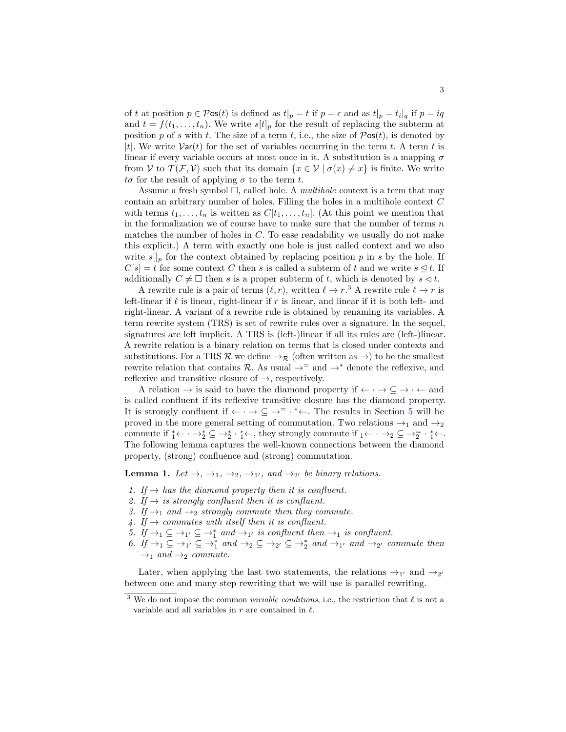of t at position  $p \in \mathcal{P}$ os $(t)$  is defined as  $t|_p = t$  if  $p = \epsilon$  and as  $t|_p = t_i|_q$  if  $p = iq$ and  $t = f(t_1, \ldots, t_n)$ . We write  $s[t]_p$  for the result of replacing the subterm at position p of s with t. The size of a term t, i.e., the size of  $\mathcal{P}$ os $(t)$ , is denoted by |t|. We write  $Var(t)$  for the set of variables occurring in the term t. A term t is linear if every variable occurs at most once in it. A substitution is a mapping  $\sigma$ from V to  $\mathcal{T}(\mathcal{F}, V)$  such that its domain  $\{x \in V \mid \sigma(x) \neq x\}$  is finite. We write  $t\sigma$  for the result of applying  $\sigma$  to the term t.

Assume a fresh symbol  $\Box$ , called hole. A *multihole* context is a term that may contain an arbitrary number of holes. Filling the holes in a multihole context C with terms  $t_1, \ldots, t_n$  is written as  $C[t_1, \ldots, t_n]$ . (At this point we mention that in the formalization we of course have to make sure that the number of terms  $n$ matches the number of holes in  $C$ . To ease readability we usually do not make this explicit.) A term with exactly one hole is just called context and we also write  $s\|_p$  for the context obtained by replacing position p in s by the hole. If  $C[s] = t$  for some context C then s is called a subterm of t and we write  $s \leq t$ . If additionally  $C \neq \Box$  then s is a proper subterm of t, which is denoted by  $s \lhd t$ .

A rewrite rule is a pair of terms  $(\ell, r)$ , written  $\ell \to r$ .<sup>[3](#page-2-0)</sup> A rewrite rule  $\ell \to r$  is left-linear if  $\ell$  is linear, right-linear if r is linear, and linear if it is both left- and right-linear. A variant of a rewrite rule is obtained by renaming its variables. A term rewrite system (TRS) is set of rewrite rules over a signature. In the sequel, signatures are left implicit. A TRS is (left-)linear if all its rules are (left-)linear. A rewrite relation is a binary relation on terms that is closed under contexts and substitutions. For a TRS R we define  $\rightarrow_{\mathcal{R}}$  (often written as  $\rightarrow$ ) to be the smallest rewrite relation that contains R. As usual  $\rightarrow^=$  and  $\rightarrow^*$  denote the reflexive, and reflexive and transitive closure of  $\rightarrow$ , respectively.

A relation  $\rightarrow$  is said to have the diamond property if  $\leftarrow \cdot \rightarrow \subseteq \rightarrow \cdot \leftarrow$  and is called confluent if its reflexive transitive closure has the diamond property. It is strongly confluent if  $\leftarrow \cdot \rightarrow \subseteq \rightarrow^= \cdot \cdot \leftarrow$ . The results in Section [5](#page-11-0) will be proved in the more general setting of commutation. Two relations  $\rightarrow_1$  and  $\rightarrow_2$ commute if  $i \leftarrow \cdots \rightarrow_2^* \subseteq \rightarrow_2^* \cdots \rightarrow_1^* \leftarrow$ , they strongly commute if  $i \leftarrow \cdots \rightarrow_2 \subseteq \rightarrow_2^= \cdots \rightarrow_1^* \leftarrow$ . The following lemma captures the well-known connections between the diamond property, (strong) confluence and (strong) commutation.

<span id="page-2-1"></span>**Lemma 1.** Let  $\rightarrow$ ,  $\rightarrow$ <sub>1</sub>,  $\rightarrow$ <sub>2</sub>,  $\rightarrow$ <sub>1'</sub>, and  $\rightarrow$ <sub>2'</sub> be binary relations.

- 1. If  $\rightarrow$  has the diamond property then it is confluent.
- 2. If  $\rightarrow$  is strongly confluent then it is confluent.
- 3. If  $\rightarrow_1$  and  $\rightarrow_2$  strongly commute then they commute.
- 4. If  $\rightarrow$  commutes with itself then it is confluent.
- 5. If  $\rightarrow_1 \subseteq \rightarrow_1' \subseteq \rightarrow_1^*$  and  $\rightarrow_1'$  is confluent then  $\rightarrow_1$  is confluent.
- 6. If  $\rightarrow_1 \subseteq \rightarrow_1' \subseteq \rightarrow_1^*$  and  $\rightarrow_2 \subseteq \rightarrow_2' \subseteq \rightarrow_2^*$  and  $\rightarrow_{1'}$  and  $\rightarrow_{2'}$  commute then  $\rightarrow_1$  and  $\rightarrow_2$  commute.

Later, when applying the last two statements, the relations  $\rightarrow_{1'}$  and  $\rightarrow_{2'}$ between one and many step rewriting that we will use is parallel rewriting.

<span id="page-2-0"></span><sup>&</sup>lt;sup>3</sup> We do not impose the common *variable conditions*, i.e., the restriction that  $\ell$  is not a variable and all variables in  $r$  are contained in  $\ell$ .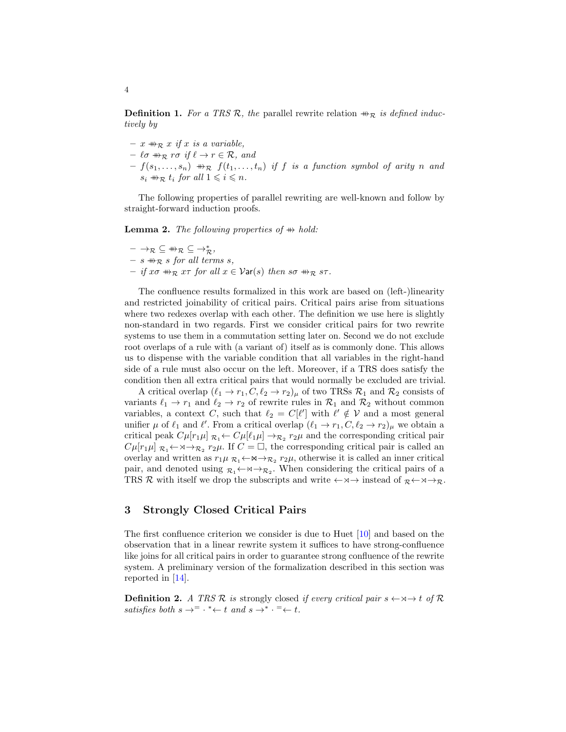**Definition 1.** For a TRS R, the parallel rewrite relation  $\#R$  is defined inductively by

- $x \oplus_{\mathcal{R}} x$  if x is a variable,
- $\ell \sigma \nrightarrow_R r \sigma \text{ if } \ell \rightarrow r \in \mathcal{R}, \text{ and}$
- $f(s_1, \ldots, s_n) \twoheadrightarrow_{\mathcal{R}} f(t_1, \ldots, t_n)$  if f is a function symbol of arity n and  $s_i \nrightarrow_{\mathcal{R}} t_i$  for all  $1 \leq i \leq n$ .

The following properties of parallel rewriting are well-known and follow by straight-forward induction proofs.

<span id="page-3-1"></span>**Lemma 2.** The following properties of  $\#$  hold:

 $- \to_{\mathcal{R}} \subseteq \mathbb{H}_{\mathcal{R}} \subseteq \to_{\mathcal{R}}^*,$  $- s \nleftrightarrow_{\mathcal{R}} s$  for all terms s,  $-$  if xσ  $\#_R$  xτ for all  $x \in \mathcal{V}$ ar(s) then sσ  $\#_R$  sτ.

The confluence results formalized in this work are based on (left-)linearity and restricted joinability of critical pairs. Critical pairs arise from situations where two redexes overlap with each other. The definition we use here is slightly non-standard in two regards. First we consider critical pairs for two rewrite systems to use them in a commutation setting later on. Second we do not exclude root overlaps of a rule with (a variant of) itself as is commonly done. This allows us to dispense with the variable condition that all variables in the right-hand side of a rule must also occur on the left. Moreover, if a TRS does satisfy the condition then all extra critical pairs that would normally be excluded are trivial.

A critical overlap  $(\ell_1 \to r_1, C, \ell_2 \to r_2)_{\mu}$  of two TRSs  $\mathcal{R}_1$  and  $\mathcal{R}_2$  consists of variants  $\ell_1 \to r_1$  and  $\ell_2 \to r_2$  of rewrite rules in  $\mathcal{R}_1$  and  $\mathcal{R}_2$  without common variables, a context C, such that  $\ell_2 = C[\ell']$  with  $\ell' \notin V$  and a most general unifier  $\mu$  of  $\ell_1$  and  $\ell'$ . From a critical overlap  $(\ell_1 \to r_1, C, \ell_2 \to r_2)_{\mu}$  we obtain a critical peak  $C\mu[r_1\mu]$   $_{\mathcal{R}_1}$   $\leftarrow$   $C\mu[\ell_1\mu]$   $\rightarrow_{\mathcal{R}_2}$   $r_2\mu$  and the corresponding critical pair  $C\mu[r_1\mu]$   $\mathcal{R}_1 \leftarrow \mathcal{R}_2$   $r_2\mu$ . If  $C = \Box$ , the corresponding critical pair is called an overlay and written as  $r_1\mu \, \mathcal{R}_1 \leftarrow \mathsf{M} \rightarrow \mathcal{R}_2 \, r_2\mu$ , otherwise it is called an inner critical pair, and denoted using  $\mathcal{R}_1 \leftarrow \mathcal{R}_2$ . When considering the critical pairs of a TRS R with itself we drop the subscripts and write  $\leftarrow \times \rightarrow$  instead of  $R \leftarrow \times \rightarrow R$ .

# <span id="page-3-0"></span>3 Strongly Closed Critical Pairs

The first confluence criterion we consider is due to Huet [\[10\]](#page-15-10) and based on the observation that in a linear rewrite system it suffices to have strong-confluence like joins for all critical pairs in order to guarantee strong confluence of the rewrite system. A preliminary version of the formalization described in this section was reported in [\[14\]](#page-15-7).

**Definition 2.** A TRS R is strongly closed if every critical pair  $s \leftarrow \forall \neg A$  of R satisfies both  $s \to^= \cdot^* \leftarrow t$  and  $s \to^* \cdot^= \leftarrow t$ .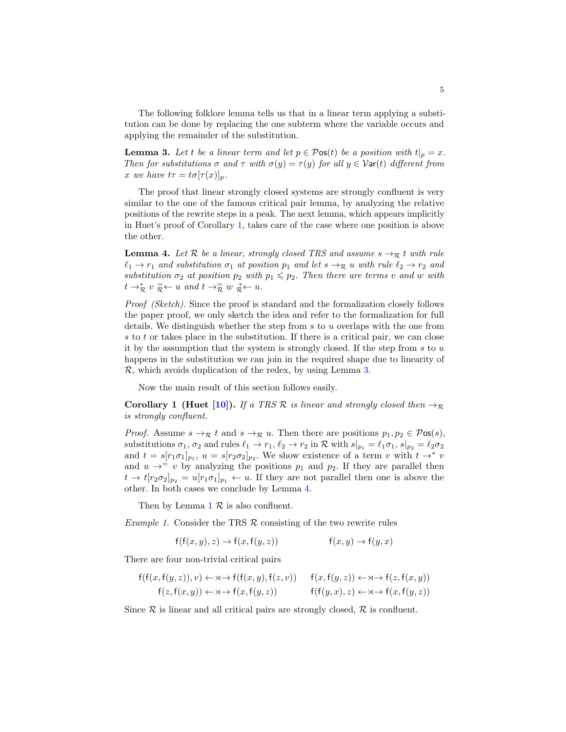The following folklore lemma tells us that in a linear term applying a substitution can be done by replacing the one subterm where the variable occurs and applying the remainder of the substitution.

<span id="page-4-1"></span>**Lemma 3.** Let t be a linear term and let  $p \in \mathcal{P}$ os(t) be a position with  $t|_p = x$ . Then for substitutions  $\sigma$  and  $\tau$  with  $\sigma(y) = \tau(y)$  for all  $y \in \mathcal{V}$ ar(t) different from x we have  $t\tau = t\sigma[\tau(x)]_p$ .

The proof that linear strongly closed systems are strongly confluent is very similar to the one of the famous critical pair lemma, by analyzing the relative positions of the rewrite steps in a peak. The next lemma, which appears implicitly in Huet's proof of Corollary [1,](#page-4-0) takes care of the case where one position is above the other.

<span id="page-4-2"></span>**Lemma 4.** Let R be a linear, strongly closed TRS and assume  $s \rightarrow_R t$  with rule  $\ell_1 \rightarrow r_1$  and substitution  $\sigma_1$  at position  $p_1$  and let  $s \rightarrow \mathcal{R}$  u with rule  $\ell_2 \rightarrow r_2$  and substitution  $\sigma_2$  at position  $p_2$  with  $p_1 \leqslant p_2$ . Then there are terms v and w with  $t \to_{\mathcal{R}}^* v \xrightarrow{\equiv} u$  and  $t \to_{\mathcal{R}}^{\equiv} w \underset{\mathcal{R}}{\ast} u$ .

Proof (Sketch). Since the proof is standard and the formalization closely follows the paper proof, we only sketch the idea and refer to the formalization for full details. We distinguish whether the step from  $s$  to  $u$  overlaps with the one from  $s$  to  $t$  or takes place in the substitution. If there is a critical pair, we can close it by the assumption that the system is strongly closed. If the step from  $s$  to  $u$ happens in the substitution we can join in the required shape due to linearity of R, which avoids duplication of the redex, by using Lemma [3.](#page-4-1)

Now the main result of this section follows easily.

<span id="page-4-0"></span>Corollary 1 (Huet [\[10\]](#page-15-10)). If a TRS R is linear and strongly closed then  $\rightarrow_{\mathcal{R}}$ is strongly confluent.

*Proof.* Assume  $s \to_R t$  and  $s \to_R u$ . Then there are positions  $p_1, p_2 \in \mathcal{P}$ os(s), substitutions  $\sigma_1$ ,  $\sigma_2$  and rules  $\ell_1 \to r_1$ ,  $\ell_2 \to r_2$  in R with  $s|_{p_1} = \ell_1 \sigma_1$ ,  $s|_{p_2} = \ell_2 \sigma_2$ and  $t = s[r_1\sigma_1]_{p_1}$ ,  $u = s[r_2\sigma_2]_{p_2}$ . We show existence of a term v with  $t \to^* v$ and  $u \rightarrow^{-} v$  by analyzing the positions  $p_1$  and  $p_2$ . If they are parallel then  $t \to t[r_2\sigma_2]_{p_2} = u[r_1\sigma_1]_{p_1} \leftarrow u$ . If they are not parallel then one is above the other. In both cases we conclude by Lemma [4.](#page-4-2)

Then by Lemma  $1 \mathcal{R}$  $1 \mathcal{R}$  is also confluent.

Example 1. Consider the TRS  $R$  consisting of the two rewrite rules

$$
f(f(x, y), z) \to f(x, f(y, z)) \qquad f(x, y) \to f(y, x)
$$

There are four non-trivial critical pairs

$$
\begin{array}{ll}\mathsf{f}(\mathsf{f}(x,\mathsf{f}(y,z)),v)\leftarrow\mathsf{x}\rightarrow\mathsf{f}(\mathsf{f}(x,y),\mathsf{f}(z,v))&\mathsf{f}(x,\mathsf{f}(y,z))\leftarrow\mathsf{x}\rightarrow\mathsf{f}(z,\mathsf{f}(x,y))\\ \mathsf{f}(z,\mathsf{f}(x,y))\leftarrow\mathsf{x}\rightarrow\mathsf{f}(x,\mathsf{f}(y,z))&\mathsf{f}(\mathsf{f}(y,x),z)\leftarrow\mathsf{x}\rightarrow\mathsf{f}(x,\mathsf{f}(y,z))\end{array}
$$

Since  $\mathcal R$  is linear and all critical pairs are strongly closed,  $\mathcal R$  is confluent.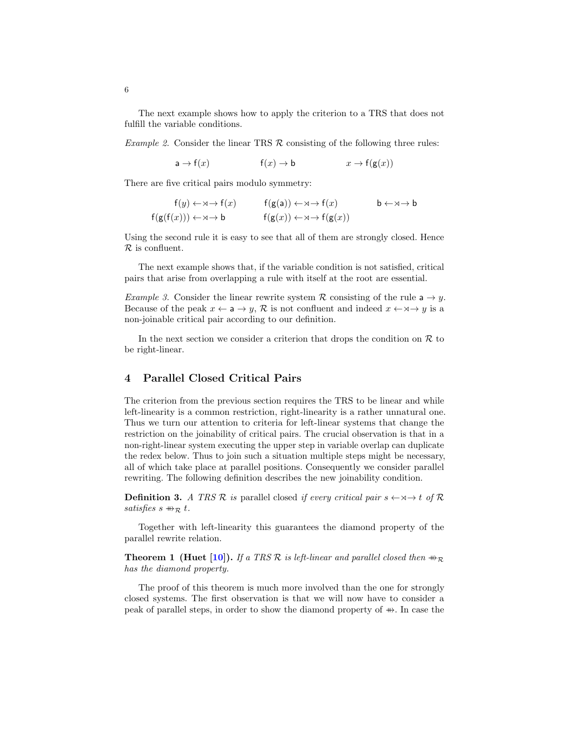The next example shows how to apply the criterion to a TRS that does not fulfill the variable conditions.

Example 2. Consider the linear TRS  $\mathcal R$  consisting of the following three rules:

 $a \rightarrow f(x)$  f(x)  $\rightarrow b$   $x \rightarrow f(g(x))$ 

There are five critical pairs modulo symmetry:

$$
f(y) \leftarrow \mathsf{x} \to f(x) \qquad f(g(a)) \leftarrow \mathsf{x} \to f(x) \qquad b \leftarrow \mathsf{x} \to b
$$
  

$$
f(g(f(x))) \leftarrow \mathsf{x} \to b \qquad f(g(x)) \leftarrow \mathsf{x} \to f(g(x)) \qquad b \leftarrow \mathsf{x} \to b
$$

Using the second rule it is easy to see that all of them are strongly closed. Hence  $\mathcal R$  is confluent.

The next example shows that, if the variable condition is not satisfied, critical pairs that arise from overlapping a rule with itself at the root are essential.

*Example 3.* Consider the linear rewrite system R consisting of the rule  $a \rightarrow y$ . Because of the peak  $x \leftarrow a \rightarrow y$ , R is not confluent and indeed  $x \leftarrow x \rightarrow y$  is a non-joinable critical pair according to our definition.

In the next section we consider a criterion that drops the condition on  $R$  to be right-linear.

## <span id="page-5-0"></span>4 Parallel Closed Critical Pairs

The criterion from the previous section requires the TRS to be linear and while left-linearity is a common restriction, right-linearity is a rather unnatural one. Thus we turn our attention to criteria for left-linear systems that change the restriction on the joinability of critical pairs. The crucial observation is that in a non-right-linear system executing the upper step in variable overlap can duplicate the redex below. Thus to join such a situation multiple steps might be necessary, all of which take place at parallel positions. Consequently we consider parallel rewriting. The following definition describes the new joinability condition.

**Definition 3.** A TRS R is parallel closed if every critical pair  $s \leftarrow \forall \rightarrow t$  of R satisfies  $s \oplus_R t$ .

Together with left-linearity this guarantees the diamond property of the parallel rewrite relation.

<span id="page-5-1"></span>**Theorem 1 (Huet [\[10\]](#page-15-10)).** If a TRS R is left-linear and parallel closed then  $\#_{\mathcal{R}}$ has the diamond property.

The proof of this theorem is much more involved than the one for strongly closed systems. The first observation is that we will now have to consider a peak of parallel steps, in order to show the diamond property of  $#$ . In case the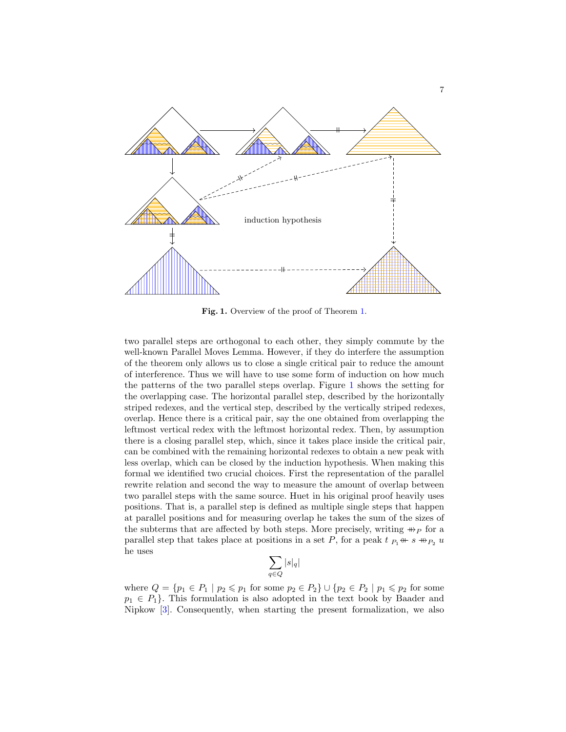

<span id="page-6-0"></span>Fig. [1.](#page-5-1) Overview of the proof of Theorem 1.

two parallel steps are orthogonal to each other, they simply commute by the well-known Parallel Moves Lemma. However, if they do interfere the assumption of the theorem only allows us to close a single critical pair to reduce the amount of interference. Thus we will have to use some form of induction on how much the patterns of the two parallel steps overlap. Figure [1](#page-6-0) shows the setting for the overlapping case. The horizontal parallel step, described by the horizontally striped redexes, and the vertical step, described by the vertically striped redexes, overlap. Hence there is a critical pair, say the one obtained from overlapping the leftmost vertical redex with the leftmost horizontal redex. Then, by assumption there is a closing parallel step, which, since it takes place inside the critical pair, can be combined with the remaining horizontal redexes to obtain a new peak with less overlap, which can be closed by the induction hypothesis. When making this formal we identified two crucial choices. First the representation of the parallel rewrite relation and second the way to measure the amount of overlap between two parallel steps with the same source. Huet in his original proof heavily uses positions. That is, a parallel step is defined as multiple single steps that happen at parallel positions and for measuring overlap he takes the sum of the sizes of the subterms that are affected by both steps. More precisely, writing  $\#_P$  for a parallel step that takes place at positions in a set P, for a peak  $t_{P_1}$  ←  $s \nrightarrow_{P_2} u$ he uses

$$
\sum_{q \in Q} |s|_q|
$$

where  $Q = \{p_1 \in P_1 \mid p_2 \leq p_1 \text{ for some } p_2 \in P_2\} \cup \{p_2 \in P_2 \mid p_1 \leq p_2 \text{ for some } p_2 \in P_1\}$  $p_1 \in P_1$ . This formulation is also adopted in the text book by Baader and Nipkow [\[3\]](#page-14-5). Consequently, when starting the present formalization, we also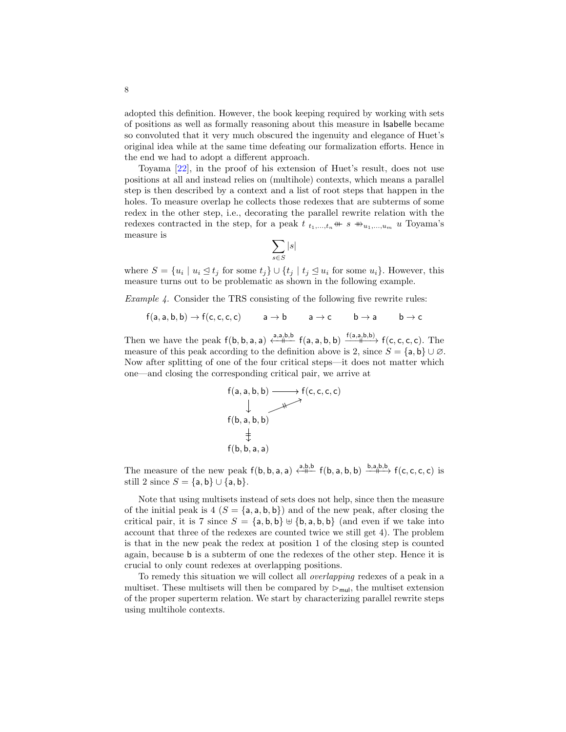adopted this definition. However, the book keeping required by working with sets of positions as well as formally reasoning about this measure in Isabelle became so convoluted that it very much obscured the ingenuity and elegance of Huet's original idea while at the same time defeating our formalization efforts. Hence in the end we had to adopt a different approach.

Toyama [\[22\]](#page-15-11), in the proof of his extension of Huet's result, does not use positions at all and instead relies on (multihole) contexts, which means a parallel step is then described by a context and a list of root steps that happen in the holes. To measure overlap he collects those redexes that are subterms of some redex in the other step, i.e., decorating the parallel rewrite relation with the redexes contracted in the step, for a peak  $t_{t_1,\ldots,t_n}$  +  $s$   $\rightarrow u_1,\ldots,u_m$  u Toyama's measure is

$$
\sum_{s\in S} |s|
$$

where  $S = \{u_i \mid u_i \leq t_j \text{ for some } t_j\} \cup \{t_j \mid t_j \leq u_i \text{ for some } u_i\}.$  However, this measure turns out to be problematic as shown in the following example.

<span id="page-7-0"></span>Example 4. Consider the TRS consisting of the following five rewrite rules:

$$
\mathsf{f}(\mathsf{a},\mathsf{a},\mathsf{b},\mathsf{b}) \to \mathsf{f}(\mathsf{c},\mathsf{c},\mathsf{c},\mathsf{c}) \qquad \mathsf{a} \to \mathsf{b} \qquad \mathsf{a} \to \mathsf{c} \qquad \mathsf{b} \to \mathsf{a} \qquad \mathsf{b} \to \mathsf{c}
$$

Then we have the peak  $f(b, b, a, a) \stackrel{a, a, b, b}{\longleftrightarrow} f(a, a, b, b) \xrightarrow{f(a, a, b, b)} f(c, c, c, c)$ . The measure of this peak according to the definition above is 2, since  $S = \{a, b\} \cup \emptyset$ . Now after splitting of one of the four critical steps—it does not matter which one—and closing the corresponding critical pair, we arrive at



The measure of the new peak  $f(b, b, a, a) \xleftarrow{a, b, b} f(b, a, b, b) \xrightarrow{b, a, b, b} f(c, c, c, c)$  is still 2 since  $S = \{a, b\} \cup \{a, b\}.$ 

Note that using multisets instead of sets does not help, since then the measure of the initial peak is  $4 (S = \{a, a, b, b\})$  and of the new peak, after closing the critical pair, it is 7 since  $S = \{a, b, b\}$   $\forall \{b, a, b, b\}$  (and even if we take into account that three of the redexes are counted twice we still get 4). The problem is that in the new peak the redex at position 1 of the closing step is counted again, because b is a subterm of one the redexes of the other step. Hence it is crucial to only count redexes at overlapping positions.

To remedy this situation we will collect all overlapping redexes of a peak in a multiset. These multisets will then be compared by  $\triangleright_{mul}$ , the multiset extension of the proper superterm relation. We start by characterizing parallel rewrite steps using multihole contexts.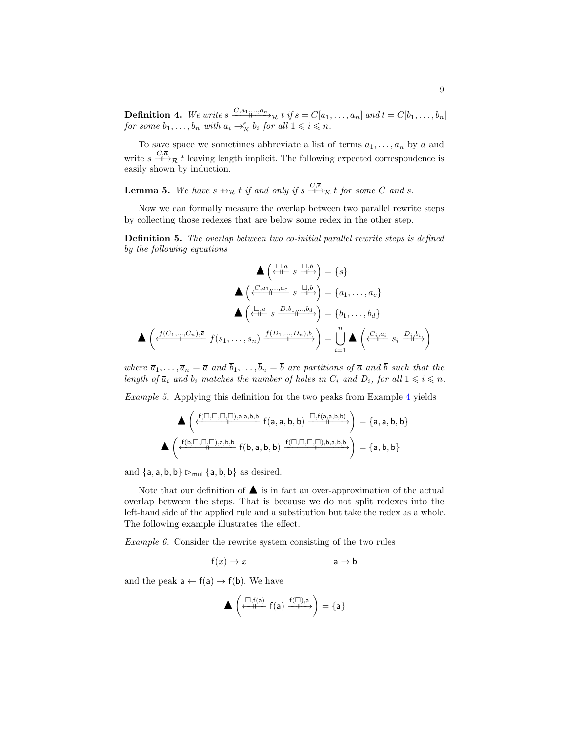**Definition 4.** We write  $s \xrightarrow{C,a_1,...,a_n} \mathcal{R}$  t if  $s = C[a_1,...,a_n]$  and  $t = C[b_1,...,b_n]$ for some  $b_1, \ldots, b_n$  with  $a_i \rightarrow_{\mathcal{R}}^{\epsilon} b_i$  for all  $1 \leqslant i \leqslant n$ .

To save space we sometimes abbreviate a list of terms  $a_1, \ldots, a_n$  by  $\overline{a}$  and write  $s \stackrel{C,\overline{a}}{\longrightarrow} \mathcal{R}$  t leaving length implicit. The following expected correspondence is easily shown by induction.

**Lemma 5.** We have  $s \nrightarrow_{\mathcal{R}} t$  if and only if  $s \nrightarrow{\mathcal{C}, \bar{s}}$  t for some C and  $\bar{s}$ .

Now we can formally measure the overlap between two parallel rewrite steps by collecting those redexes that are below some redex in the other step.

<span id="page-8-0"></span>**Definition 5.** The overlap between two co-initial parallel rewrite steps is defined by the following equations

$$
\begin{aligned}\n\mathbf{A} \left( \xleftarrow{\Box,a} s \xrightarrow{\Box,b} \right) &= \{s\} \\
\mathbf{A} \left( \xleftarrow{\mathcal{C}.a_1, \dots, a_c} s \xrightarrow{\Box,b} \right) &= \{a_1, \dots, a_c\} \\
\mathbf{A} \left( \xleftarrow{\Box,a} s \xrightarrow{\mathcal{D}.b_1, \dots, b_d} \right) &= \{b_1, \dots, b_d\} \\
\mathbf{A} \left( \xleftarrow{\mathcal{C}.a_1, \dots, \mathcal{C}.b, \overline{a}} f(s_1, \dots, s_n) \xrightarrow{f(D_1, \dots, Dn), \overline{b}} \right) &= \bigcup_{i=1}^n \mathbf{A} \left( \xleftarrow{\mathcal{C}.i \overline{a_i}} s_i \xrightarrow{\mathcal{D}.i \overline{b}_i} \right)\n\end{aligned}
$$

where  $\overline{a}_1, \ldots, \overline{a}_n = \overline{a}$  and  $b_1, \ldots, b_n = b$  are partitions of  $\overline{a}$  and b such that the length of  $\overline{a}_i$  and  $\overline{b}_i$  matches the number of holes in  $C_i$  and  $D_i$ , for all  $1 \leq i \leq n$ .

Example 5. Applying this definition for the two peaks from Example [4](#page-7-0) yields

$$
\blacktriangle\left(\xleftarrow{f(\Box,\Box,\Box,\Box),a,b,b}f(a,a,b,b)\xrightarrow{\Box,f(a,a,b,b)}\right)=\{a,a,b,b\}\\ \blacktriangle\left(\xleftarrow{f(b,\Box,\Box,\Box),a,b,b}f(b,a,b,b)\xrightarrow{f(\Box,\Box,\Box,\Box),b,a,b,b} \right)=\{a,b,b\}
$$

and  ${a, a, b, b} \rightarrow_{mul} {a, b, b}$  as desired.

Note that our definition of  $\blacktriangle$  is in fact an over-approximation of the actual overlap between the steps. That is because we do not split redexes into the left-hand side of the applied rule and a substitution but take the redex as a whole. The following example illustrates the effect.

Example 6. Consider the rewrite system consisting of the two rules

$$
f(x) \to x
$$
  $a \to b$ 

and the peak  $a \leftarrow f(a) \rightarrow f(b)$ . We have

$$
\blacktriangle\left(\stackrel{\square, f(a)}{\xleftarrow{\hspace*{1cm}}} f(a) \stackrel{f(\square), a}{\xrightarrow{\hspace*{1cm}}} \right) = \{a\}
$$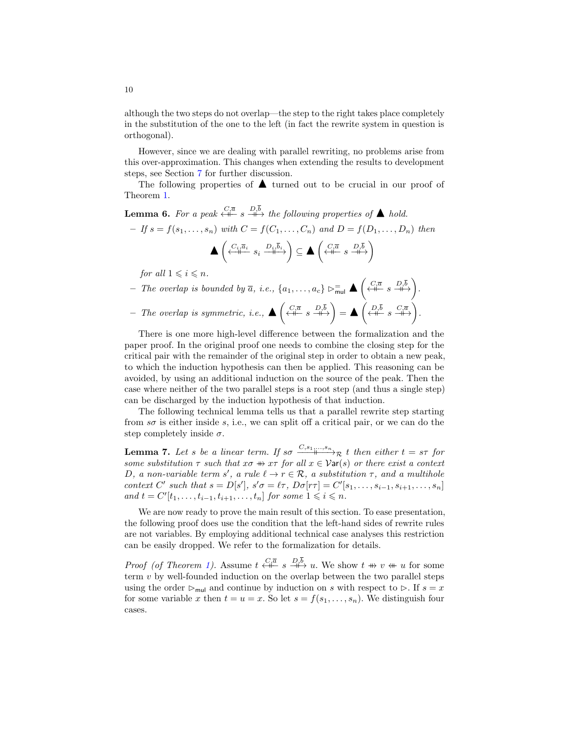although the two steps do not overlap—the step to the right takes place completely in the substitution of the one to the left (in fact the rewrite system in question is orthogonal).

However, since we are dealing with parallel rewriting, no problems arise from this over-approximation. This changes when extending the results to development steps, see Section [7](#page-13-1) for further discussion.

The following properties of  $\blacktriangle$  turned out to be crucial in our proof of Theorem [1.](#page-5-1)

- <span id="page-9-0"></span>**Lemma 6.** For a peak  $\stackrel{C,\overline{a}}{\longleftrightarrow}$   $s \stackrel{D,\overline{b}}{\longrightarrow}$  the following properties of  $\blacktriangle$  hold. – If  $s = f(s_1, ..., s_n)$  with  $C = f(C_1, ..., C_n)$  and  $D = f(D_1, ..., D_n)$  then  $\blacktriangle \left( \begin{array}{cc} C_i, \overline{a}_i \\ \stackrel{\leftarrow}{\longleftarrow} & s_i \stackrel{D_i, \overline{b}_i}{\longleftarrow} \end{array} \right) \subseteq \blacktriangle \left( \begin{array}{cc} C_i, \overline{a} & D_i, \overline{b} \\ \stackrel{\leftarrow}{\longleftarrow} & s \stackrel{\leftarrow}{\longleftarrow} \end{array} \right) \end{array} \right)$ for all  $1 \leq i \leq n$ .  $-$  The overlap is bounded by  $\overline{a}$ , i.e.,  $\{a_1, \ldots, a_c\}$   $\triangleright_{\text{mul}}^{\equiv}$   $\blacktriangle \left( \stackrel{C, \overline{a}}{\leftrightarrow} \stackrel{D, \overline{b}}{\leftrightarrow} \right)$ .
- $-$  The overlap is symmetric, i.e.,  $\blacktriangle \left( \begin{array}{cc} C, \overline{a} & D, \overline{b} \\ \leftarrow & s \end{array} \right) = \blacktriangle \left( \begin{array}{cc} D, \overline{b} & C, \overline{a} \\ \leftarrow & s \end{array} \right).$

There is one more high-level difference between the formalization and the paper proof. In the original proof one needs to combine the closing step for the critical pair with the remainder of the original step in order to obtain a new peak, to which the induction hypothesis can then be applied. This reasoning can be avoided, by using an additional induction on the source of the peak. Then the case where neither of the two parallel steps is a root step (and thus a single step) can be discharged by the induction hypothesis of that induction.

The following technical lemma tells us that a parallel rewrite step starting from  $s\sigma$  is either inside s, i.e., we can split off a critical pair, or we can do the step completely inside  $\sigma$ .

<span id="page-9-1"></span>**Lemma 7.** Let s be a linear term. If so  $\frac{C,s_1,...,s_n}{\longrightarrow}$  t then either  $t = s\tau$  for some substitution  $\tau$  such that  $x\sigma \nleftrightarrow x\tau$  for all  $x \in \mathcal{V}$ ar(s) or there exist a context D, a non-variable term s', a rule  $\ell \to r \in \mathcal{R}$ , a substitution  $\tau$ , and a multihole context C' such that  $s = D[s']$ ,  $s'\sigma = \ell \tau$ ,  $D\sigma[r\tau] = C'[s_1, \ldots, s_{i-1}, s_{i+1}, \ldots, s_n]$ and  $t = C'[t_1, \ldots, t_{i-1}, t_{i+1}, \ldots, t_n]$  for some  $1 \leqslant i \leqslant n$ .

We are now ready to prove the main result of this section. To ease presentation, the following proof does use the condition that the left-hand sides of rewrite rules are not variables. By employing additional technical case analyses this restriction can be easily dropped. We refer to the formalization for details.

*Proof (of Theorem [1\)](#page-5-1).* Assume  $t \stackrel{C,\overline{a}}{\leftrightarrow} s \stackrel{D,b}{\dashrightarrow} u$ . We show  $t \nleftrightarrow v \nleftrightarrow u$  for some term  $v$  by well-founded induction on the overlap between the two parallel steps using the order  $\triangleright$ <sub>mul</sub> and continue by induction on s with respect to  $\triangleright$ . If  $s = x$ for some variable x then  $t = u = x$ . So let  $s = f(s_1, \ldots, s_n)$ . We distinguish four cases.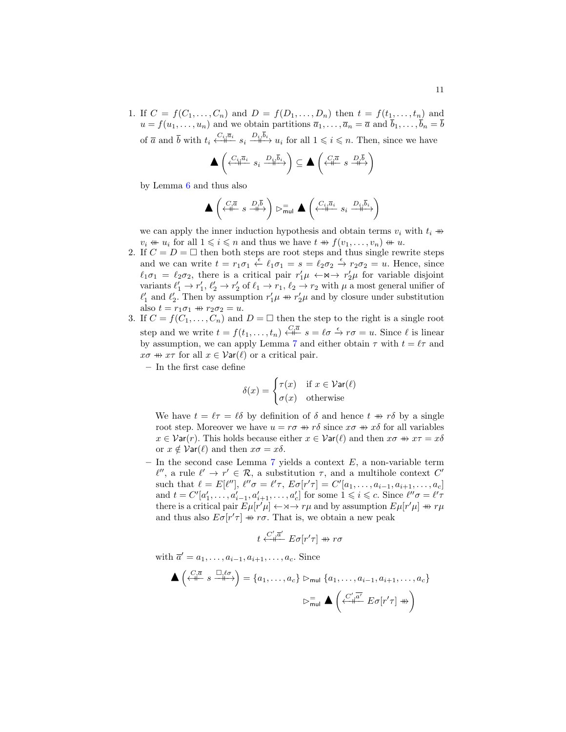1. If  $C = f(C_1, ..., C_n)$  and  $D = f(D_1, ..., D_n)$  then  $t = f(t_1, ..., t_n)$  and  $u = f(u_1, \ldots, u_n)$  and we obtain partitions  $\overline{a}_1, \ldots, \overline{a}_n = \overline{a}$  and  $\overline{b}_1, \ldots, \overline{b}_n = \overline{b}$ of  $\overline{a}$  and  $\overline{b}$  with  $t_i \stackrel{C_i, \overline{a}_i}{\longrightarrow} s_i \stackrel{D_i, b_i}{\longrightarrow} u_i$  for all  $1 \leq i \leq n$ . Then, since we have

$$
\blacktriangle \left( \xleftarrow{C_i, \overline{a}_i} s_i \xrightarrow{D_i, \overline{b}_i} \right) \subseteq \blacktriangle \left( \xleftarrow{C, \overline{a}} s \xrightarrow{D, \overline{b}} \right)
$$

by Lemma [6](#page-9-0) and thus also

$$
\blacktriangle \left( \begin{smallmatrix} C_1 \overline{a} & D_1 \overline{b} \\ \overline{\leftarrow} \overline{a} & s & \overline{\leftarrow} \overline{b} \end{smallmatrix} \right) \vartriangleright_{\sf mul}^= \blacktriangle \left( \begin{smallmatrix} C_{i_1} \overline{a}_i & D_{i_1} \overline{b}_i \\ \overline{\leftarrow} \overline{a} & s_i & \overline{\leftarrow} \overline{a} \end{smallmatrix} \right)
$$

we can apply the inner induction hypothesis and obtain terms  $v_i$  with  $t_i$   $\#$  $v_i \nleftrightarrow u_i$  for all  $1 \leq i \leq n$  and thus we have  $t \nleftrightarrow f(v_1, \ldots, v_n) \nleftrightarrow u$ .

- 2. If  $C = D = \Box$  then both steps are root steps and thus single rewrite steps and we can write  $t = r_1 \sigma_1 \stackrel{\epsilon}{\leftarrow} \ell_1 \sigma_1 = s = \ell_2 \sigma_2 \stackrel{\epsilon}{\rightarrow} r_2 \sigma_2 = u$ . Hence, since  $\ell_1 \sigma_1 = \ell_2 \sigma_2$ , there is a critical pair  $r'_1 \mu \leftarrow \forall \neg \neg \neg \neg \mu$  for variable disjoint variants  $\ell'_1 \to r'_1$ ,  $\ell'_2 \to r'_2$  of  $\ell_1 \to r_1$ ,  $\ell_2 \to r_2$  with  $\mu$  a most general unifier of  $\ell'_1$  and  $\ell'_2$ . Then by assumption  $r'_1\mu \, \nleftrightarrow \, r'_2\mu$  and by closure under substitution also  $t = r_1 \sigma_1 \nrightarrow r_2 \sigma_2 = u$ .
- 3. If  $C = f(C_1, \ldots, C_n)$  and  $D = \square$  then the step to the right is a single root step and we write  $t = f(t_1, \ldots, t_n) \stackrel{C, \bar{a}}{\leftrightarrow} s = \ell \sigma \stackrel{\epsilon}{\rightarrow} r \sigma = u$ . Since  $\ell$  is linear by assumption, we can apply Lemma [7](#page-9-1) and either obtain  $\tau$  with  $t = \ell \tau$  and  $x\sigma \nrightarrow x\tau$  for all  $x \in \mathcal{V}$ ar $(\ell)$  or a critical pair.
	- In the first case define

$$
\delta(x) = \begin{cases} \tau(x) & \text{if } x \in \mathcal{V}\text{ar}(\ell) \\ \sigma(x) & \text{otherwise} \end{cases}
$$

We have  $t = \ell \tau = \ell \delta$  by definition of  $\delta$  and hence  $t \# r \delta$  by a single root step. Moreover we have  $u = r\sigma \Rightarrow r\delta$  since  $x\sigma \Rightarrow x\delta$  for all variables  $x \in \mathcal{V}$ ar(r). This holds because either  $x \in \mathcal{V}$ ar( $\ell$ ) and then  $x\sigma \nrightarrow y \tau = x\delta$ or  $x \notin \mathcal{V}$ ar $(\ell)$  and then  $x\sigma = x\delta$ .

– In the second case Lemma  $7$  yields a context  $E$ , a non-variable term  $\ell'',$  a rule  $\ell' \to r' \in \mathcal{R}$ , a substitution  $\tau$ , and a multihole context C' such that  $\ell = E[\ell''], \ell''\sigma = \ell' \tau, E\sigma[r'\tau] = C'[a_1, \ldots, a_{i-1}, a_{i+1}, \ldots, a_c]$ and  $t = C'[a'_1, \ldots, a'_{i-1}, a'_{i+1}, \ldots, a'_c]$  for some  $1 \leq i \leq c$ . Since  $\ell''\sigma = \ell'\tau$ there is a critical pair  $E[\mu[r'] \rightarrow \rightarrow r \rightarrow r \mu$  and by assumption  $E[\mu[r'] \rightarrow r \mu$ and thus also  $E\sigma[r'\tau] \nrightarrow r\sigma$ . That is, we obtain a new peak

$$
t \stackrel{C',\overline{a}'}{\longleftarrow} E\sigma[r'\tau] \nrightarrow r\sigma
$$

with  $\overline{a}' = a_1, \ldots, a_{i-1}, a_{i+1}, \ldots, a_c$ . Since

$$
\blacktriangle \left(\stackrel{C,\overline{a}}{\longleftrightarrow} s \stackrel{\square, \ell \sigma}{\longleftrightarrow} \right) = \{a_1, \dots, a_c\} \triangleright_{\text{mul}} \{a_1, \dots, a_{i-1}, a_{i+1}, \dots, a_c\}
$$

$$
\triangleright_{\text{mul}}^= \blacktriangle \left(\stackrel{C',\overline{a'}}{\longleftrightarrow} E \sigma[r'\tau] \stackrel{\text{m}}{\longleftrightarrow} \right)
$$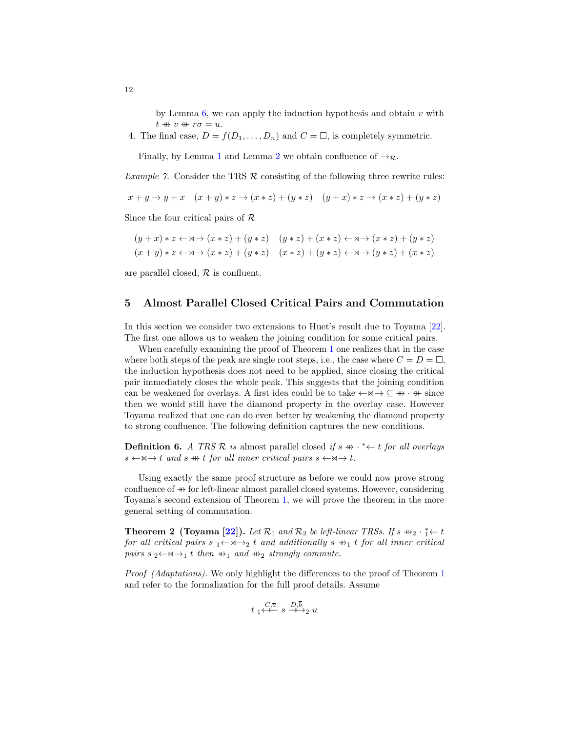by Lemma  $6$ , we can apply the induction hypothesis and obtain  $v$  with  $t \nrightarrow v \nleftrightarrow r\sigma = u.$ 

4. The final case,  $D = f(D_1, \ldots, D_n)$  and  $C = \square$ , is completely symmetric.

Finally, by Lemma [1](#page-2-1) and Lemma [2](#page-3-1) we obtain confluence of  $\rightarrow_{\mathcal{R}}$ .

*Example 7.* Consider the TRS  $\mathcal R$  consisting of the following three rewrite rules:

$$
x + y \rightarrow y + x \quad (x + y) * z \rightarrow (x * z) + (y * z) \quad (y + x) * z \rightarrow (x * z) + (y * z)
$$

Since the four critical pairs of  $\mathcal R$ 

$$
(y+x)*z \leftarrow \forall x \rightarrow (x*z) + (y*z) \quad (y*z) + (x*z) \leftarrow \forall x \rightarrow (x*z) + (y*z)
$$
  

$$
(x+y)*z \leftarrow \forall x \rightarrow (x*z) + (y*z) \quad (x*z) + (y*z) \leftarrow \forall x \rightarrow (y*z) + (x*z)
$$

are parallel closed,  $R$  is confluent.

#### <span id="page-11-0"></span>5 Almost Parallel Closed Critical Pairs and Commutation

In this section we consider two extensions to Huet's result due to Toyama [\[22\]](#page-15-11). The first one allows us to weaken the joining condition for some critical pairs.

When carefully examining the proof of Theorem [1](#page-5-1) one realizes that in the case where both steps of the peak are single root steps, i.e., the case where  $C = D = \Box$ , the induction hypothesis does not need to be applied, since closing the critical pair immediately closes the whole peak. This suggests that the joining condition can be weakened for overlays. A first idea could be to take  $\leftarrow \neg \neg \rightarrow \subseteq \neg \rightarrow \neg + \neg +$  since then we would still have the diamond property in the overlay case. However Toyama realized that one can do even better by weakening the diamond property to strong confluence. The following definition captures the new conditions.

**Definition 6.** A TRS R is almost parallel closed if  $s \nleftrightarrow$  \*  $\leftarrow t$  for all overlays  $s \leftarrow \mathsf{A} \rightarrow t$  and  $s \not\rightarrow t$  for all inner critical pairs  $s \leftarrow \mathsf{A} \rightarrow t$ .

Using exactly the same proof structure as before we could now prove strong confluence of  $\#$  for left-linear almost parallel closed systems. However, considering Toyama's second extension of Theorem [1,](#page-5-1) we will prove the theorem in the more general setting of commutation.

<span id="page-11-1"></span>Theorem 2 (Toyama [\[22\]](#page-15-11)). Let  $\mathcal{R}_1$  and  $\mathcal{R}_2$  be left-linear TRSs. If s  $\#_2 \cdot \frac{1}{1} \leftarrow t$ for all critical pairs  $s_1 \leftarrow \rightarrow \rightarrow 2$  t and additionally  $s \nleftrightarrow_1 t$  for all inner critical pairs s <sub>2</sub>← $\rtimes$ →1 t then  $\omega_{1}$  and  $\omega_{2}$  strongly commute.

Proof (Adaptations). We only highlight the differences to the proof of Theorem [1](#page-5-1) and refer to the formalization for the full proof details. Assume

$$
t_1 \stackrel{C,\overline{a}}{\leftarrow} s \stackrel{D,\overline{b}}{\leftarrow} u
$$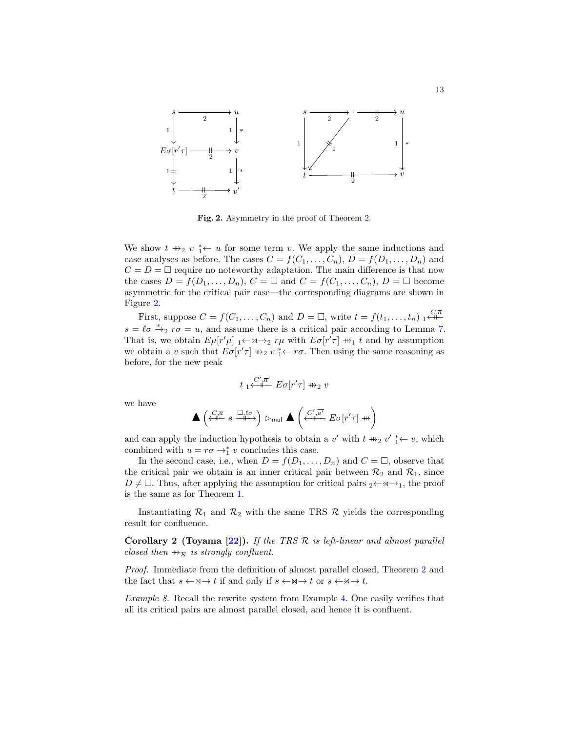

<span id="page-12-0"></span>Fig. [2.](#page-11-1) Asymmetry in the proof of Theorem 2.

We show  $t \nrightarrow_2 v^*$  + u for some term v. We apply the same inductions and case analyses as before. The cases  $C = f(C_1, \ldots, C_n)$ ,  $D = f(D_1, \ldots, D_n)$  and  $C = D = \Box$  require no noteworthy adaptation. The main difference is that now the cases  $D = f(D_1, \ldots, D_n)$ ,  $C = \square$  and  $C = f(C_1, \ldots, C_n)$ ,  $D = \square$  become asymmetric for the critical pair case—the corresponding diagrams are shown in Figure [2.](#page-12-0)

First, suppose  $C = f(C_1, \ldots, C_n)$  and  $D = \Box$ , write  $t = f(t_1, \ldots, t_n)$   $\Box_{\mathbf{t}}^{C, \overline{a}}$  $s = \ell \sigma \stackrel{\epsilon}{\rightarrow}_2 r \sigma = u$ , and assume there is a critical pair according to Lemma [7.](#page-9-1) That is, we obtain  $E\mu[r'\mu]_1 \leftarrow \cdots \rightarrow_2 r\mu$  with  $E\sigma[r'\tau] \nrightarrow_1 t$  and by assumption we obtain a v such that  $E\sigma[r'\tau] \nrightarrow 2 v^*_{1} \leftarrow r\sigma$ . Then using the same reasoning as before, for the new peak

$$
t_1 \stackrel{C',\overline{a}'}{\longleftarrow} E\sigma[r'\tau] \nrightarrow 2 v
$$

we have

$$
\blacktriangle\left(\stackrel{C,\overline{a}}{\iff} s\stackrel{\square,\ell\sigma}{\dashv\vdash}\right)\rhd_{\sf mul}\blacktriangle\left(\stackrel{C',\overline{a'}}{\dashv\vdash\vdash} E\sigma[r'\tau]\twoheadrightarrow\right)
$$

and can apply the induction hypothesis to obtain a v' with  $t \nleftrightarrow_2 v' \nleftrightarrow v$ , which combined with  $u = r\sigma \rightarrow_1^* v$  concludes this case.

In the second case, i.e., when  $D = f(D_1, \ldots, D_n)$  and  $C = \Box$ , observe that the critical pair we obtain is an inner critical pair between  $\mathcal{R}_2$  and  $\mathcal{R}_1$ , since  $D \neq \square$ . Thus, after applying the assumption for critical pairs  $2 \leftarrow \rightarrow +1$ , the proof is the same as for Theorem [1.](#page-5-1)

Instantiating  $\mathcal{R}_1$  and  $\mathcal{R}_2$  with the same TRS  $\mathcal{R}$  yields the corresponding result for confluence.

<span id="page-12-1"></span>Corollary 2 (Toyama  $[22]$ ). If the TRS R is left-linear and almost parallel closed then  $\#_{\mathcal{R}}$  is strongly confluent.

Proof. Immediate from the definition of almost parallel closed, Theorem [2](#page-11-1) and the fact that  $s \leftarrow \forall x \rightarrow t$  if and only if  $s \leftarrow \forall x \rightarrow t$  or  $s \leftarrow \forall x \rightarrow t$ .

Example 8. Recall the rewrite system from Example [4.](#page-7-0) One easily verifies that all its critical pairs are almost parallel closed, and hence it is confluent.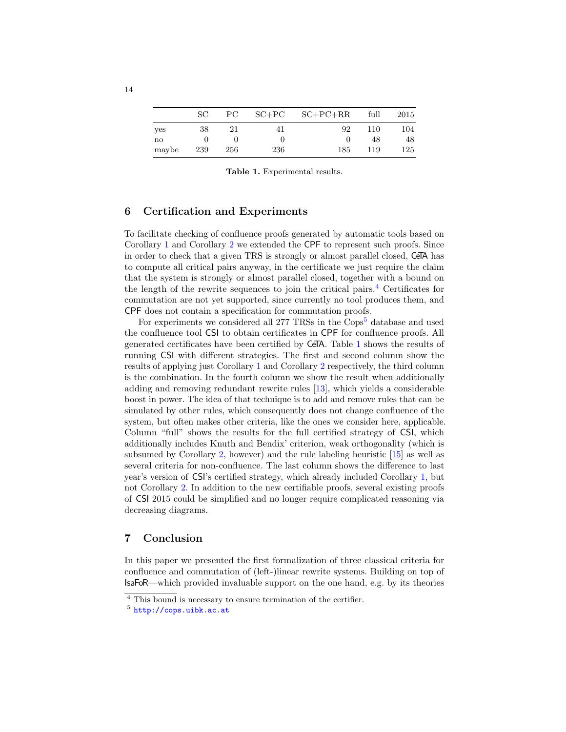|              | SС  | PС  | $SC+PC$ | $SC+PC+RR$ | full | 2015 |
|--------------|-----|-----|---------|------------|------|------|
| yes          | 38  | 21  | 41      | 92         | 110  | 104  |
| $\mathbf{n}$ |     |     |         |            | 48   | 48   |
| maybe        | 239 | 256 | 236     | 185        | 119  | 125  |

<span id="page-13-4"></span>Table 1. Experimental results.

## <span id="page-13-0"></span>6 Certification and Experiments

To facilitate checking of confluence proofs generated by automatic tools based on Corollary [1](#page-4-0) and Corollary [2](#page-12-1) we extended the CPF to represent such proofs. Since in order to check that a given TRS is strongly or almost parallel closed, CeTA has to compute all critical pairs anyway, in the certificate we just require the claim that the system is strongly or almost parallel closed, together with a bound on the length of the rewrite sequences to join the critical pairs.[4](#page-13-2) Certificates for commutation are not yet supported, since currently no tool produces them, and CPF does not contain a specification for commutation proofs.

For experiments we considered all 277 TRSs in the Cops<sup>[5](#page-13-3)</sup> database and used the confluence tool CSI to obtain certificates in CPF for confluence proofs. All generated certificates have been certified by CeTA. Table [1](#page-13-4) shows the results of running CSI with different strategies. The first and second column show the results of applying just Corollary [1](#page-4-0) and Corollary [2](#page-12-1) respectively, the third column is the combination. In the fourth column we show the result when additionally adding and removing redundant rewrite rules [\[13\]](#page-15-8), which yields a considerable boost in power. The idea of that technique is to add and remove rules that can be simulated by other rules, which consequently does not change confluence of the system, but often makes other criteria, like the ones we consider here, applicable. Column "full" shows the results for the full certified strategy of CSI, which additionally includes Knuth and Bendix' criterion, weak orthogonality (which is subsumed by Corollary [2,](#page-12-1) however) and the rule labeling heuristic [\[15\]](#page-15-9) as well as several criteria for non-confluence. The last column shows the difference to last year's version of CSI's certified strategy, which already included Corollary [1,](#page-4-0) but not Corollary [2.](#page-12-1) In addition to the new certifiable proofs, several existing proofs of CSI 2015 could be simplified and no longer require complicated reasoning via decreasing diagrams.

# <span id="page-13-1"></span>7 Conclusion

In this paper we presented the first formalization of three classical criteria for confluence and commutation of (left-)linear rewrite systems. Building on top of IsaFoR—which provided invaluable support on the one hand, e.g. by its theories

<span id="page-13-2"></span><sup>4</sup> This bound is necessary to ensure termination of the certifier.

<span id="page-13-3"></span><sup>5</sup> <http://cops.uibk.ac.at>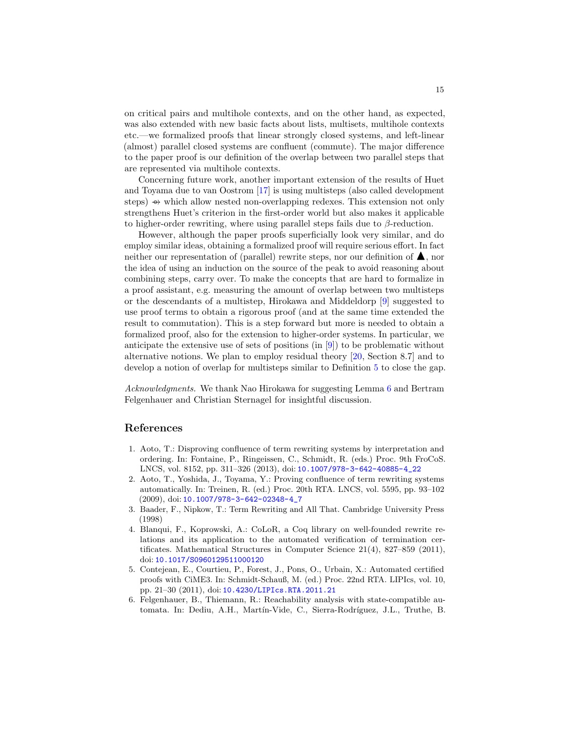on critical pairs and multihole contexts, and on the other hand, as expected, was also extended with new basic facts about lists, multisets, multihole contexts etc.—we formalized proofs that linear strongly closed systems, and left-linear (almost) parallel closed systems are confluent (commute). The major difference to the paper proof is our definition of the overlap between two parallel steps that are represented via multihole contexts.

Concerning future work, another important extension of the results of Huet and Toyama due to van Oostrom [\[17\]](#page-15-13) is using multisteps (also called development steps) → which allow nested non-overlapping redexes. This extension not only strengthens Huet's criterion in the first-order world but also makes it applicable to higher-order rewriting, where using parallel steps fails due to  $\beta$ -reduction.

However, although the paper proofs superficially look very similar, and do employ similar ideas, obtaining a formalized proof will require serious effort. In fact neither our representation of (parallel) rewrite steps, nor our definition of  $\blacktriangle$ , nor the idea of using an induction on the source of the peak to avoid reasoning about combining steps, carry over. To make the concepts that are hard to formalize in a proof assistant, e.g. measuring the amount of overlap between two multisteps or the descendants of a multistep, Hirokawa and Middeldorp [\[9\]](#page-15-16) suggested to use proof terms to obtain a rigorous proof (and at the same time extended the result to commutation). This is a step forward but more is needed to obtain a formalized proof, also for the extension to higher-order systems. In particular, we anticipate the extensive use of sets of positions (in [\[9\]](#page-15-16)) to be problematic without alternative notions. We plan to employ residual theory [\[20,](#page-15-14) Section 8.7] and to develop a notion of overlap for multisteps similar to Definition [5](#page-8-0) to close the gap.

Acknowledgments. We thank Nao Hirokawa for suggesting Lemma [6](#page-9-0) and Bertram Felgenhauer and Christian Sternagel for insightful discussion.

#### References

- <span id="page-14-3"></span>1. Aoto, T.: Disproving confluence of term rewriting systems by interpretation and ordering. In: Fontaine, P., Ringeissen, C., Schmidt, R. (eds.) Proc. 9th FroCoS. LNCS, vol. 8152, pp. 311–326 (2013), doi: [10.1007/978-3-642-40885-4\\_22](http://dx.doi.org/10.1007/978-3-642-40885-4_22)
- <span id="page-14-0"></span>2. Aoto, T., Yoshida, J., Toyama, Y.: Proving confluence of term rewriting systems automatically. In: Treinen, R. (ed.) Proc. 20th RTA. LNCS, vol. 5595, pp. 93–102 (2009), doi: [10.1007/978-3-642-02348-4\\_7](http://dx.doi.org/10.1007/978-3-642-02348-4_7)
- <span id="page-14-5"></span>3. Baader, F., Nipkow, T.: Term Rewriting and All That. Cambridge University Press (1998)
- <span id="page-14-1"></span>4. Blanqui, F., Koprowski, A.: CoLoR, a Coq library on well-founded rewrite relations and its application to the automated verification of termination certificates. Mathematical Structures in Computer Science 21(4), 827–859 (2011), doi: [10.1017/S0960129511000120](http://dx.doi.org/10.1017/S0960129511000120)
- <span id="page-14-2"></span>5. Contejean, E., Courtieu, P., Forest, J., Pons, O., Urbain, X.: Automated certified proofs with CiME3. In: Schmidt-Schauß, M. (ed.) Proc. 22nd RTA. LIPIcs, vol. 10, pp. 21–30 (2011), doi: [10.4230/LIPIcs.RTA.2011.21](http://dx.doi.org/10.4230/LIPIcs.RTA.2011.21)
- <span id="page-14-4"></span>6. Felgenhauer, B., Thiemann, R.: Reachability analysis with state-compatible automata. In: Dediu, A.H., Martín-Vide, C., Sierra-Rodríguez, J.L., Truthe, B.